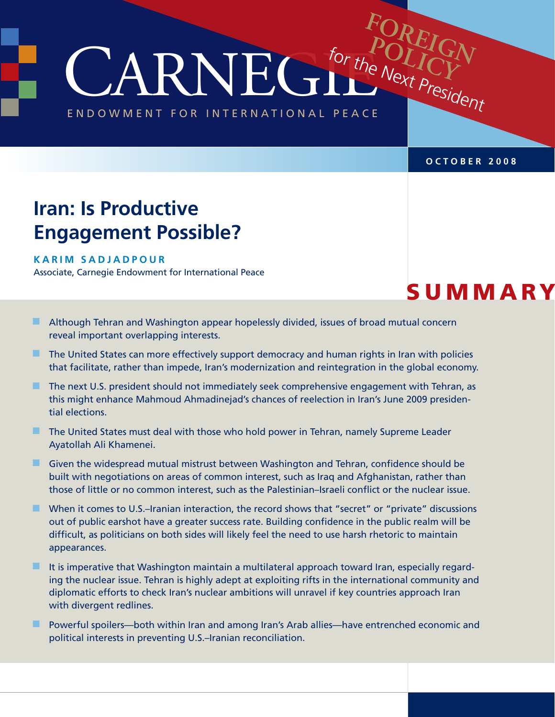CARNEGIE **FOREIGN** for the Next President POLICI

ENDOWMENT FOR INTERNATIONAL PEACE

#### **october 2008**

# **Iran: Is Productive Engagement Possible?**

#### **Kar i m Sadjad p our**

Associate, Carnegie Endowment for International Peace

# **SUMMARY**

- **n Although Tehran and Washington appear hopelessly divided, issues of broad mutual concern** reveal important overlapping interests.
- $\blacksquare$  The United States can more effectively support democracy and human rights in Iran with policies that facilitate, rather than impede, Iran's modernization and reintegration in the global economy.
- $\blacksquare$  The next U.S. president should not immediately seek comprehensive engagement with Tehran, as this might enhance Mahmoud Ahmadinejad's chances of reelection in Iran's June 2009 presidential elections.
- $\blacksquare$  The United States must deal with those who hold power in Tehran, namely Supreme Leader Ayatollah Ali Khamenei.
- **n** Given the widespread mutual mistrust between Washington and Tehran, confidence should be built with negotiations on areas of common interest, such as Iraq and Afghanistan, rather than those of little or no common interest, such as the Palestinian–Israeli conflict or the nuclear issue.
- $\blacksquare$  When it comes to U.S.–Iranian interaction, the record shows that "secret" or "private" discussions out of public earshot have a greater success rate. Building confidence in the public realm will be difficult, as politicians on both sides will likely feel the need to use harsh rhetoric to maintain appearances.
- $\blacksquare$  It is imperative that Washington maintain a multilateral approach toward Iran, especially regarding the nuclear issue. Tehran is highly adept at exploiting rifts in the international community and diplomatic efforts to check Iran's nuclear ambitions will unravel if key countries approach Iran with divergent redlines.
- Powerful spoilers—both within Iran and among Iran's Arab allies—have entrenched economic and political interests in preventing U.S.–Iranian reconciliation.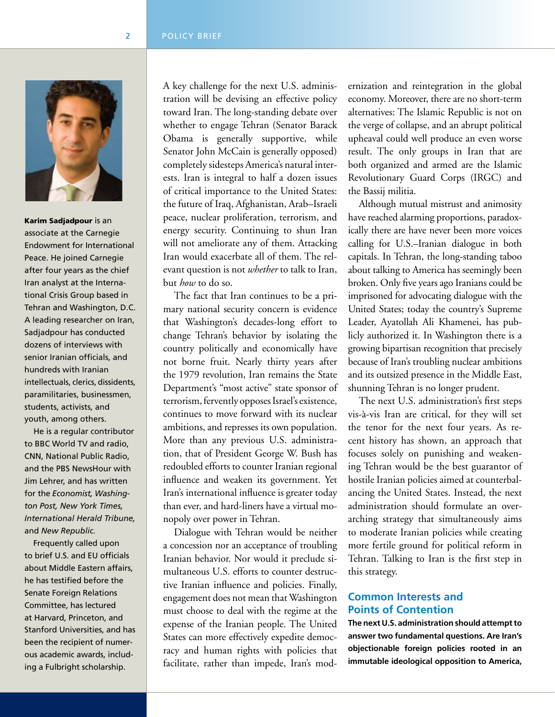

Karim Sadjadpour is an associate at the Carnegie Endowment for International Peace. He joined Carnegie after four years as the chief Iran analyst at the International Crisis Group based in Tehran and Washington, D.C. A leading researcher on Iran, Sadjadpour has conducted dozens of interviews with senior Iranian officials, and hundreds with Iranian intellectuals, clerics, dissidents, paramilitaries, businessmen, students, activists, and youth, among others.

 He is a regular contributor to BBC World TV and radio, CNN, National Public Radio, and the PBS NewsHour with Jim Lehrer, and has written for the *Economist, Washington Post, New York Times, International Herald Tribune,* and *New Republic.*

 Frequently called upon to brief U.S. and EU officials about Middle Eastern affairs, he has testified before the Senate Foreign Relations Committee, has lectured at Harvard, Princeton, and Stanford Universities, and has been the recipient of numerous academic awards, including a Fulbright scholarship.

A key challenge for the next U.S. administration will be devising an effective policy toward Iran. The long-standing debate over whether to engage Tehran (Senator Barack Obama is generally supportive, while Senator John McCain is generally opposed) completely sidesteps America's natural interests. Iran is integral to half a dozen issues of critical importance to the United States: the future of Iraq, Afghanistan, Arab–Israeli peace, nuclear proliferation, terrorism, and energy security. Continuing to shun Iran will not ameliorate any of them. Attacking Iran would exacerbate all of them. The relevant question is not *whether* to talk to Iran, but *how* to do so.

The fact that Iran continues to be a primary national security concern is evidence that Washington's decades-long effort to change Tehran's behavior by isolating the country politically and economically have not borne fruit. Nearly thirty years after the 1979 revolution, Iran remains the State Department's "most active" state sponsor of terrorism, fervently opposes Israel's existence, continues to move forward with its nuclear ambitions, and represses its own population. More than any previous U.S. administration, that of President George W. Bush has redoubled efforts to counter Iranian regional influence and weaken its government. Yet Iran's international influence is greater today than ever, and hard-liners have a virtual monopoly over power in Tehran.

Dialogue with Tehran would be neither a concession nor an acceptance of troubling Iranian behavior. Nor would it preclude simultaneous U.S. efforts to counter destructive Iranian influence and policies. Finally, engagement does not mean that Washington must choose to deal with the regime at the expense of the Iranian people. The United States can more effectively expedite democracy and human rights with policies that facilitate, rather than impede, Iran's modernization and reintegration in the global economy. Moreover, there are no short-term alternatives: The Islamic Republic is not on the verge of collapse, and an abrupt political upheaval could well produce an even worse result. The only groups in Iran that are both organized and armed are the Islamic Revolutionary Guard Corps (IRGC) and the Bassij militia.

Although mutual mistrust and animosity have reached alarming proportions, paradoxically there are have never been more voices calling for U.S.–Iranian dialogue in both capitals. In Tehran, the long-standing taboo about talking to America has seemingly been broken. Only five years ago Iranians could be imprisoned for advocating dialogue with the United States; today the country's Supreme Leader, Ayatollah Ali Khamenei, has publicly authorized it. In Washington there is a growing bipartisan recognition that precisely because of Iran's troubling nuclear ambitions and its outsized presence in the Middle East, shunning Tehran is no longer prudent.

The next U.S. administration's first steps vis-à-vis Iran are critical, for they will set the tenor for the next four years. As recent history has shown, an approach that focuses solely on punishing and weakening Tehran would be the best guarantor of hostile Iranian policies aimed at counterbalancing the United States. Instead, the next administration should formulate an overarching strategy that simultaneously aims to moderate Iranian policies while creating more fertile ground for political reform in Tehran. Talking to Iran is the first step in this strategy.

## **Common Interests and Points of Contention**

**The next U.S. administration should attempt to answer two fundamental questions. Are Iran's objectionable foreign policies rooted in an immutable ideological opposition to America,**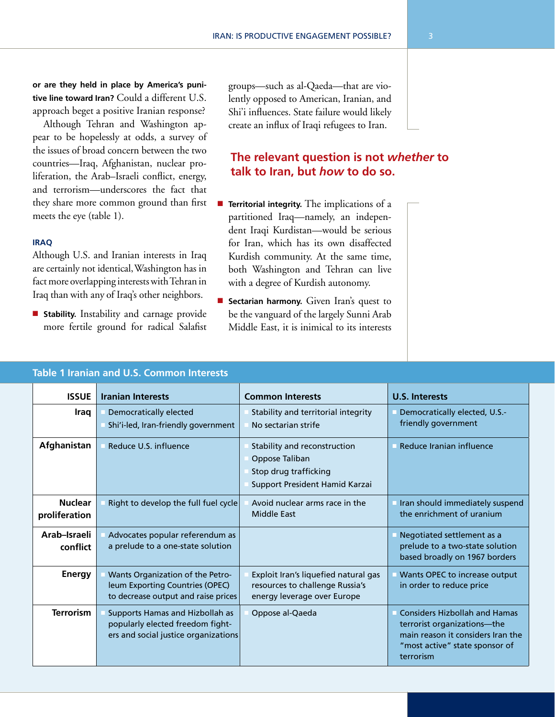**or are they held in place by America's punitive line toward Iran?** Could a different U.S. approach beget a positive Iranian response?

Although Tehran and Washington appear to be hopelessly at odds, a survey of the issues of broad concern between the two countries—Iraq, Afghanistan, nuclear proliferation, the Arab–Israeli conflict, energy, and terrorism—underscores the fact that they share more common ground than first meets the eye (table 1).

#### **Iraq**

Although U.S. and Iranian interests in Iraq are certainly not identical, Washington has in fact more overlapping interests with Tehran in Iraq than with any of Iraq's other neighbors.

**E** Stability. Instability and carnage provide more fertile ground for radical Salafist groups—such as al-Qaeda—that are violently opposed to American, Iranian, and Shi'i influences. State failure would likely create an influx of Iraqi refugees to Iran.

## **The relevant question is not** *whether* **to talk to Iran, but** *how* **to do so.**

- **Territorial integrity.** The implications of a partitioned Iraq—namely, an independent Iraqi Kurdistan—would be serious for Iran, which has its own disaffected Kurdish community. At the same time, both Washington and Tehran can live with a degree of Kurdish autonomy.
- **E** Sectarian harmony. Given Iran's quest to be the vanguard of the largely Sunni Arab Middle East, it is inimical to its interests

| <b>ISSUE</b>                    | <b>Iranian Interests</b>                                                                                    | <b>Common Interests</b>                                                                                   | <b>U.S. Interests</b>                                                                                                                                   |
|---------------------------------|-------------------------------------------------------------------------------------------------------------|-----------------------------------------------------------------------------------------------------------|---------------------------------------------------------------------------------------------------------------------------------------------------------|
| Iraq                            | <b>Democratically elected</b><br>Shi'i-led, Iran-friendly government                                        | Stability and territorial integrity<br>No sectarian strife                                                | Democratically elected, U.S.-<br>friendly government                                                                                                    |
| Afghanistan                     | Reduce U.S. influence                                                                                       | Stability and reconstruction<br>Oppose Taliban<br>Stop drug trafficking<br>Support President Hamid Karzai | Reduce Iranian influence                                                                                                                                |
| <b>Nuclear</b><br>proliferation | Right to develop the full fuel cycle                                                                        | Avoid nuclear arms race in the<br><b>Middle East</b>                                                      | Iran should immediately suspend<br>the enrichment of uranium                                                                                            |
| Arab-Israeli<br>conflict        | Advocates popular referendum as<br>a prelude to a one-state solution                                        |                                                                                                           | Negotiated settlement as a<br>prelude to a two-state solution<br>based broadly on 1967 borders                                                          |
| <b>Energy</b>                   | Wants Organization of the Petro-<br>leum Exporting Countries (OPEC)<br>to decrease output and raise prices  | Exploit Iran's liquefied natural gas<br>resources to challenge Russia's<br>energy leverage over Europe    | Wants OPEC to increase output<br>in order to reduce price                                                                                               |
| <b>Terrorism</b>                | Supports Hamas and Hizbollah as<br>popularly elected freedom fight-<br>ers and social justice organizations | Oppose al-Qaeda                                                                                           | <b>Considers Hizbollah and Hamas</b><br>terrorist organizations-the<br>main reason it considers Iran the<br>"most active" state sponsor of<br>terrorism |

## **Table 1 Iranian and U.S. Common Interests**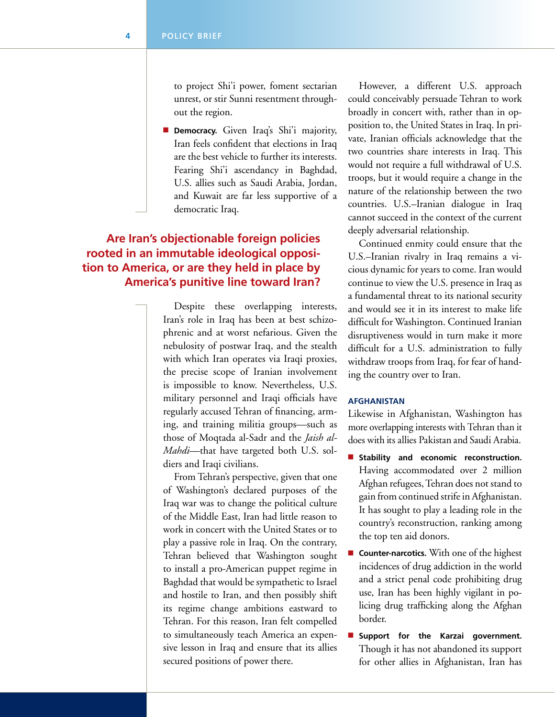to project Shi'i power, foment sectarian unrest, or stir Sunni resentment throughout the region.

**Democracy.** Given Iraq's Shi'i majority, Iran feels confident that elections in Iraq are the best vehicle to further its interests. Fearing Shi'i ascendancy in Baghdad, U.S. allies such as Saudi Arabia, Jordan, and Kuwait are far less supportive of a democratic Iraq.

## **Are Iran's objectionable foreign policies rooted in an immutable ideological opposition to America, or are they held in place by America's punitive line toward Iran?**

Despite these overlapping interests, Iran's role in Iraq has been at best schizophrenic and at worst nefarious. Given the nebulosity of postwar Iraq, and the stealth with which Iran operates via Iraqi proxies, the precise scope of Iranian involvement is impossible to know. Nevertheless, U.S. military personnel and Iraqi officials have regularly accused Tehran of financing, arming, and training militia groups—such as those of Moqtada al-Sadr and the *Jaish al-Mahdi*—that have targeted both U.S. soldiers and Iraqi civilians.

From Tehran's perspective, given that one of Washington's declared purposes of the Iraq war was to change the political culture of the Middle East, Iran had little reason to work in concert with the United States or to play a passive role in Iraq. On the contrary, Tehran believed that Washington sought to install a pro-American puppet regime in Baghdad that would be sympathetic to Israel and hostile to Iran, and then possibly shift its regime change ambitions eastward to Tehran. For this reason, Iran felt compelled to simultaneously teach America an expensive lesson in Iraq and ensure that its allies secured positions of power there.

However, a different U.S. approach could conceivably persuade Tehran to work broadly in concert with, rather than in opposition to, the United States in Iraq. In private, Iranian officials acknowledge that the two countries share interests in Iraq. This would not require a full withdrawal of U.S. troops, but it would require a change in the nature of the relationship between the two countries. U.S.–Iranian dialogue in Iraq cannot succeed in the context of the current deeply adversarial relationship.

Continued enmity could ensure that the U.S.–Iranian rivalry in Iraq remains a vicious dynamic for years to come. Iran would continue to view the U.S. presence in Iraq as a fundamental threat to its national security and would see it in its interest to make life difficult for Washington. Continued Iranian disruptiveness would in turn make it more difficult for a U.S. administration to fully withdraw troops from Iraq, for fear of handing the country over to Iran.

#### **Afghanistan**

Likewise in Afghanistan, Washington has more overlapping interests with Tehran than it does with its allies Pakistan and Saudi Arabia.

- **n** Stability and economic reconstruction. Having accommodated over 2 million Afghan refugees, Tehran does not stand to gain from continued strife in Afghanistan. It has sought to play a leading role in the country's reconstruction, ranking among the top ten aid donors.
- **Counter-narcotics.** With one of the highest incidences of drug addiction in the world and a strict penal code prohibiting drug use, Iran has been highly vigilant in policing drug trafficking along the Afghan border.
- **n** Support for the Karzai government. Though it has not abandoned its support for other allies in Afghanistan, Iran has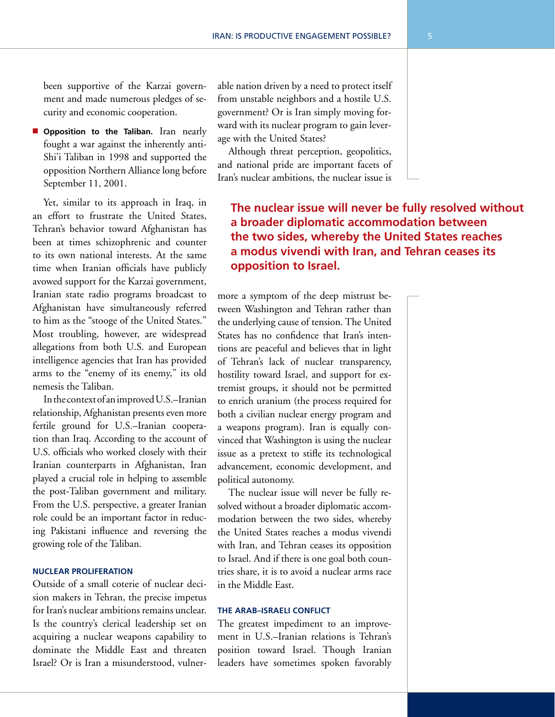been supportive of the Karzai government and made numerous pledges of security and economic cooperation.

**n** Opposition to the Taliban. Iran nearly fought a war against the inherently anti-Shi'i Taliban in 1998 and supported the opposition Northern Alliance long before September 11, 2001.

Yet, similar to its approach in Iraq, in an effort to frustrate the United States, Tehran's behavior toward Afghanistan has been at times schizophrenic and counter to its own national interests. At the same time when Iranian officials have publicly avowed support for the Karzai government, Iranian state radio programs broadcast to Afghanistan have simultaneously referred to him as the "stooge of the United States." Most troubling, however, are widespread allegations from both U.S. and European intelligence agencies that Iran has provided arms to the "enemy of its enemy," its old nemesis the Taliban.

In the context of an improved U.S.–Iranian relationship, Afghanistan presents even more fertile ground for U.S.–Iranian cooperation than Iraq. According to the account of U.S. officials who worked closely with their Iranian counterparts in Afghanistan, Iran played a crucial role in helping to assemble the post-Taliban government and military. From the U.S. perspective, a greater Iranian role could be an important factor in reducing Pakistani influence and reversing the growing role of the Taliban.

#### **Nuclear Proliferation**

Outside of a small coterie of nuclear decision makers in Tehran, the precise impetus for Iran's nuclear ambitions remains unclear. Is the country's clerical leadership set on acquiring a nuclear weapons capability to dominate the Middle East and threaten Israel? Or is Iran a misunderstood, vulnerable nation driven by a need to protect itself from unstable neighbors and a hostile U.S. government? Or is Iran simply moving forward with its nuclear program to gain leverage with the United States?

Although threat perception, geopolitics, and national pride are important facets of Iran's nuclear ambitions, the nuclear issue is

## **The nuclear issue will never be fully resolved without a broader diplomatic accommodation between the two sides, whereby the United States reaches a modus vivendi with Iran, and Tehran ceases its opposition to Israel.**

more a symptom of the deep mistrust between Washington and Tehran rather than the underlying cause of tension. The United States has no confidence that Iran's intentions are peaceful and believes that in light of Tehran's lack of nuclear transparency, hostility toward Israel, and support for extremist groups, it should not be permitted to enrich uranium (the process required for both a civilian nuclear energy program and a weapons program). Iran is equally convinced that Washington is using the nuclear issue as a pretext to stifle its technological advancement, economic development, and political autonomy.

The nuclear issue will never be fully resolved without a broader diplomatic accommodation between the two sides, whereby the United States reaches a modus vivendi with Iran, and Tehran ceases its opposition to Israel. And if there is one goal both countries share, it is to avoid a nuclear arms race in the Middle East.

#### **The Arab–Israeli Conflict**

The greatest impediment to an improvement in U.S.–Iranian relations is Tehran's position toward Israel. Though Iranian leaders have sometimes spoken favorably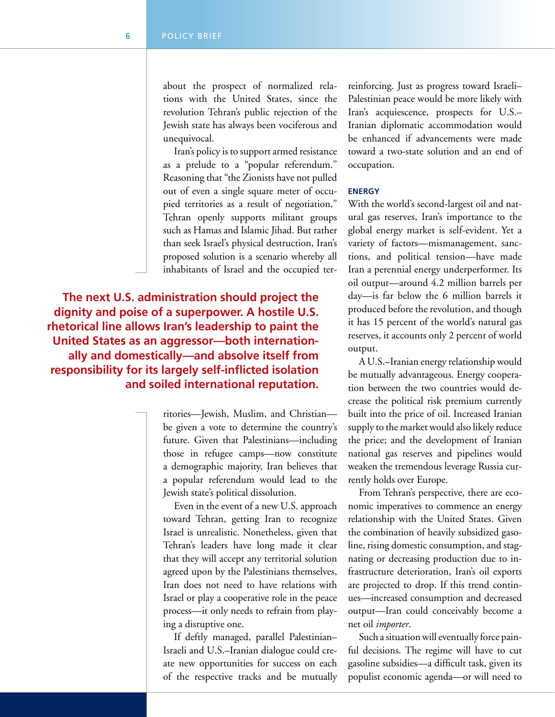about the prospect of normalized relations with the United States, since the revolution Tehran's public rejection of the Jewish state has always been vociferous and unequivocal.

Iran's policy is to support armed resistance as a prelude to a "popular referendum." Reasoning that "the Zionists have not pulled out of even a single square meter of occupied territories as a result of negotiation," Tehran openly supports militant groups such as Hamas and Islamic Jihad. But rather than seek Israel's physical destruction, Iran's proposed solution is a scenario whereby all inhabitants of Israel and the occupied ter-

**The next U.S. administration should project the dignity and poise of a superpower. A hostile U.S. rhetorical line allows Iran's leadership to paint the United States as an aggressor—both internationally and domestically—and absolve itself from responsibility for its largely self-inflicted isolation and soiled international reputation.** 

> ritories—Jewish, Muslim, and Christian be given a vote to determine the country's future. Given that Palestinians—including those in refugee camps—now constitute a demographic majority, Iran believes that a popular referendum would lead to the Jewish state's political dissolution.

Even in the event of a new U.S. approach toward Tehran, getting Iran to recognize Israel is unrealistic. Nonetheless, given that Tehran's leaders have long made it clear that they will accept any territorial solution agreed upon by the Palestinians themselves, Iran does not need to have relations with Israel or play a cooperative role in the peace process—it only needs to refrain from playing a disruptive one.

If deftly managed, parallel Palestinian– Israeli and U.S.–Iranian dialogue could create new opportunities for success on each of the respective tracks and be mutually reinforcing. Just as progress toward Israeli– Palestinian peace would be more likely with Iran's acquiescence, prospects for U.S.– Iranian diplomatic accommodation would be enhanced if advancements were made toward a two-state solution and an end of occupation.

#### **Energy**

With the world's second-largest oil and natural gas reserves, Iran's importance to the global energy market is self-evident. Yet a variety of factors—mismanagement, sanctions, and political tension—have made Iran a perennial energy underperformer. Its oil output—around 4.2 million barrels per day—is far below the 6 million barrels it produced before the revolution, and though it has 15 percent of the world's natural gas reserves, it accounts only 2 percent of world output.

A U.S.–Iranian energy relationship would be mutually advantageous. Energy cooperation between the two countries would decrease the political risk premium currently built into the price of oil. Increased Iranian supply to the market would also likely reduce the price; and the development of Iranian national gas reserves and pipelines would weaken the tremendous leverage Russia currently holds over Europe.

From Tehran's perspective, there are economic imperatives to commence an energy relationship with the United States. Given the combination of heavily subsidized gasoline, rising domestic consumption, and stagnating or decreasing production due to infrastructure deterioration, Iran's oil exports are projected to drop. If this trend continues—increased consumption and decreased output—Iran could conceivably become a net oil *importer*.

Such a situation will eventually force painful decisions. The regime will have to cut gasoline subsidies—a difficult task, given its populist economic agenda—or will need to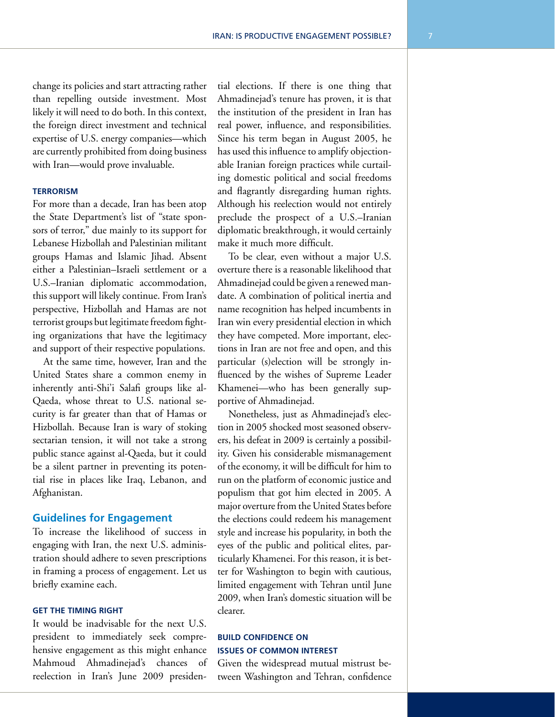change its policies and start attracting rather than repelling outside investment. Most likely it will need to do both. In this context, the foreign direct investment and technical expertise of U.S. energy companies—which are currently prohibited from doing business with Iran—would prove invaluable.

#### **Terrorism**

For more than a decade, Iran has been atop the State Department's list of "state sponsors of terror," due mainly to its support for Lebanese Hizbollah and Palestinian militant groups Hamas and Islamic Jihad. Absent either a Palestinian–Israeli settlement or a U.S.–Iranian diplomatic accommodation, this support will likely continue. From Iran's perspective, Hizbollah and Hamas are not terrorist groups but legitimate freedom fighting organizations that have the legitimacy and support of their respective populations.

At the same time, however, Iran and the United States share a common enemy in inherently anti-Shi'i Salafi groups like al-Qaeda, whose threat to U.S. national security is far greater than that of Hamas or Hizbollah. Because Iran is wary of stoking sectarian tension, it will not take a strong public stance against al-Qaeda, but it could be a silent partner in preventing its potential rise in places like Iraq, Lebanon, and Afghanistan.

#### **Guidelines for Engagement**

To increase the likelihood of success in engaging with Iran, the next U.S. administration should adhere to seven prescriptions in framing a process of engagement. Let us briefly examine each.

#### **Get the Timing Right**

It would be inadvisable for the next U.S. president to immediately seek comprehensive engagement as this might enhance Mahmoud Ahmadinejad's chances of reelection in Iran's June 2009 presiden-

tial elections. If there is one thing that Ahmadinejad's tenure has proven, it is that the institution of the president in Iran has real power, influence, and responsibilities. Since his term began in August 2005, he has used this influence to amplify objectionable Iranian foreign practices while curtailing domestic political and social freedoms and flagrantly disregarding human rights. Although his reelection would not entirely preclude the prospect of a U.S.–Iranian diplomatic breakthrough, it would certainly make it much more difficult.

To be clear, even without a major U.S. overture there is a reasonable likelihood that Ahmadinejad could be given a renewed mandate. A combination of political inertia and name recognition has helped incumbents in Iran win every presidential election in which they have competed. More important, elections in Iran are not free and open, and this particular (s)election will be strongly influenced by the wishes of Supreme Leader Khamenei—who has been generally supportive of Ahmadinejad.

Nonetheless, just as Ahmadinejad's election in 2005 shocked most seasoned observers, his defeat in 2009 is certainly a possibility. Given his considerable mismanagement of the economy, it will be difficult for him to run on the platform of economic justice and populism that got him elected in 2005. A major overture from the United States before the elections could redeem his management style and increase his popularity, in both the eyes of the public and political elites, particularly Khamenei. For this reason, it is better for Washington to begin with cautious, limited engagement with Tehran until June 2009, when Iran's domestic situation will be clearer.

### **Build Confidence on Issues of Common Interest**

Given the widespread mutual mistrust between Washington and Tehran, confidence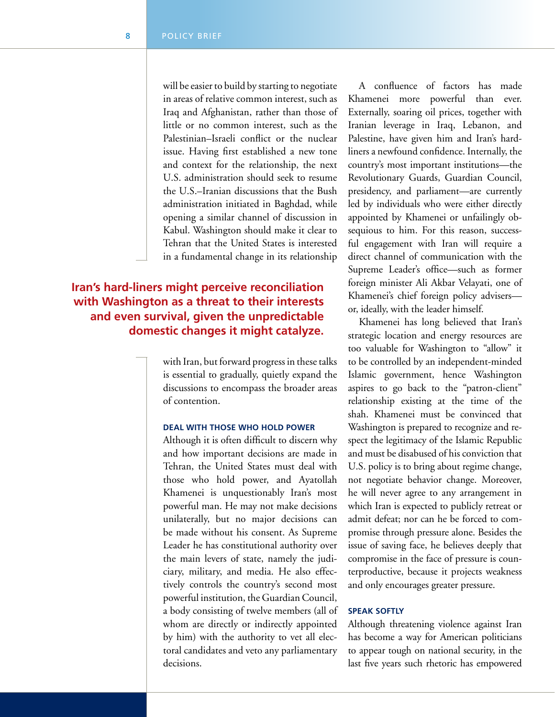will be easier to build by starting to negotiate in areas of relative common interest, such as Iraq and Afghanistan, rather than those of little or no common interest, such as the Palestinian–Israeli conflict or the nuclear issue. Having first established a new tone and context for the relationship, the next U.S. administration should seek to resume the U.S.–Iranian discussions that the Bush administration initiated in Baghdad, while opening a similar channel of discussion in Kabul. Washington should make it clear to Tehran that the United States is interested in a fundamental change in its relationship

## **Iran's hard-liners might perceive reconciliation with Washington as a threat to their interests and even survival, given the unpredictable domestic changes it might catalyze.**

with Iran, but forward progress in these talks is essential to gradually, quietly expand the discussions to encompass the broader areas of contention.

#### **Deal With Those Who Hold Power**

Although it is often difficult to discern why and how important decisions are made in Tehran, the United States must deal with those who hold power, and Ayatollah Khamenei is unquestionably Iran's most powerful man. He may not make decisions unilaterally, but no major decisions can be made without his consent. As Supreme Leader he has constitutional authority over the main levers of state, namely the judiciary, military, and media. He also effectively controls the country's second most powerful institution, the Guardian Council, a body consisting of twelve members (all of whom are directly or indirectly appointed by him) with the authority to vet all electoral candidates and veto any parliamentary decisions.

A confluence of factors has made Khamenei more powerful than ever. Externally, soaring oil prices, together with Iranian leverage in Iraq, Lebanon, and Palestine, have given him and Iran's hardliners a newfound confidence. Internally, the country's most important institutions—the Revolutionary Guards, Guardian Council, presidency, and parliament—are currently led by individuals who were either directly appointed by Khamenei or unfailingly obsequious to him. For this reason, successful engagement with Iran will require a direct channel of communication with the Supreme Leader's office—such as former foreign minister Ali Akbar Velayati, one of Khamenei's chief foreign policy advisers or, ideally, with the leader himself.

Khamenei has long believed that Iran's strategic location and energy resources are too valuable for Washington to "allow" it to be controlled by an independent-minded Islamic government, hence Washington aspires to go back to the "patron-client" relationship existing at the time of the shah. Khamenei must be convinced that Washington is prepared to recognize and respect the legitimacy of the Islamic Republic and must be disabused of his conviction that U.S. policy is to bring about regime change, not negotiate behavior change. Moreover, he will never agree to any arrangement in which Iran is expected to publicly retreat or admit defeat; nor can he be forced to compromise through pressure alone. Besides the issue of saving face, he believes deeply that compromise in the face of pressure is counterproductive, because it projects weakness and only encourages greater pressure.

#### **Speak Softly**

Although threatening violence against Iran has become a way for American politicians to appear tough on national security, in the last five years such rhetoric has empowered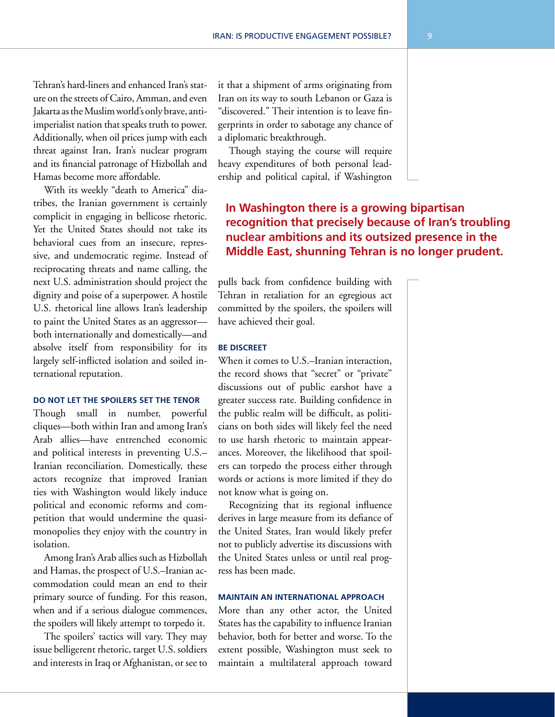Tehran's hard-liners and enhanced Iran's stature on the streets of Cairo, Amman, and even Jakarta as the Muslim world's only brave, antiimperialist nation that speaks truth to power. Additionally, when oil prices jump with each threat against Iran, Iran's nuclear program and its financial patronage of Hizbollah and Hamas become more affordable.

With its weekly "death to America" diatribes, the Iranian government is certainly complicit in engaging in bellicose rhetoric. Yet the United States should not take its behavioral cues from an insecure, repressive, and undemocratic regime. Instead of reciprocating threats and name calling, the next U.S. administration should project the dignity and poise of a superpower. A hostile U.S. rhetorical line allows Iran's leadership to paint the United States as an aggressor both internationally and domestically—and absolve itself from responsibility for its largely self-inflicted isolation and soiled international reputation.

#### **Do Not Let the Spoilers Set the Tenor**

Though small in number, powerful cliques—both within Iran and among Iran's Arab allies—have entrenched economic and political interests in preventing U.S.– Iranian reconciliation. Domestically, these actors recognize that improved Iranian ties with Washington would likely induce political and economic reforms and competition that would undermine the quasimonopolies they enjoy with the country in isolation.

Among Iran's Arab allies such as Hizbollah and Hamas, the prospect of U.S.–Iranian accommodation could mean an end to their primary source of funding. For this reason, when and if a serious dialogue commences, the spoilers will likely attempt to torpedo it.

The spoilers' tactics will vary. They may issue belligerent rhetoric, target U.S. soldiers and interests in Iraq or Afghanistan, or see to

it that a shipment of arms originating from Iran on its way to south Lebanon or Gaza is "discovered." Their intention is to leave fingerprints in order to sabotage any chance of a diplomatic breakthrough.

Though staying the course will require heavy expenditures of both personal leadership and political capital, if Washington

## **In Washington there is a growing bipartisan recognition that precisely because of Iran's troubling nuclear ambitions and its outsized presence in the Middle East, shunning Tehran is no longer prudent.**

pulls back from confidence building with Tehran in retaliation for an egregious act committed by the spoilers, the spoilers will have achieved their goal.

#### **Be Discreet**

When it comes to U.S.–Iranian interaction, the record shows that "secret" or "private" discussions out of public earshot have a greater success rate. Building confidence in the public realm will be difficult, as politicians on both sides will likely feel the need to use harsh rhetoric to maintain appearances. Moreover, the likelihood that spoilers can torpedo the process either through words or actions is more limited if they do not know what is going on.

Recognizing that its regional influence derives in large measure from its defiance of the United States, Iran would likely prefer not to publicly advertise its discussions with the United States unless or until real progress has been made.

#### **Maintain an International Approach**

More than any other actor, the United States has the capability to influence Iranian behavior, both for better and worse. To the extent possible, Washington must seek to maintain a multilateral approach toward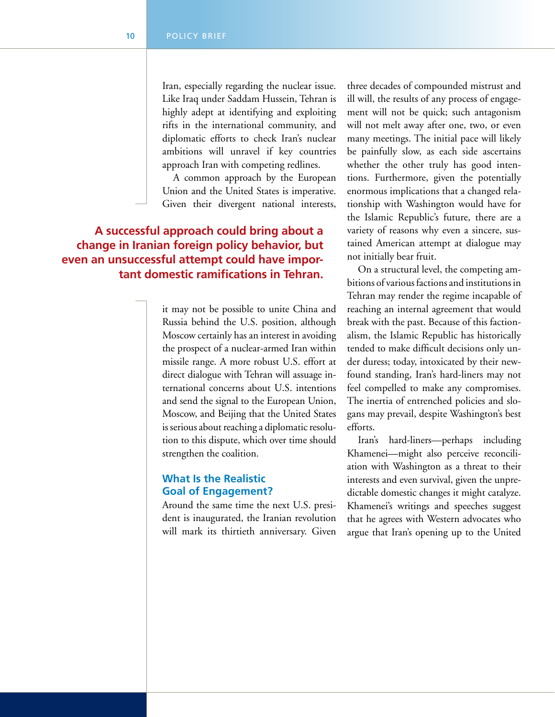Iran, especially regarding the nuclear issue. Like Iraq under Saddam Hussein, Tehran is highly adept at identifying and exploiting rifts in the international community, and diplomatic efforts to check Iran's nuclear ambitions will unravel if key countries approach Iran with competing redlines.

A common approach by the European Union and the United States is imperative. Given their divergent national interests,

## **A successful approach could bring about a change in Iranian foreign policy behavior, but even an unsuccessful attempt could have important domestic ramifications in Tehran.**

it may not be possible to unite China and Russia behind the U.S. position, although Moscow certainly has an interest in avoiding the prospect of a nuclear-armed Iran within missile range. A more robust U.S. effort at direct dialogue with Tehran will assuage international concerns about U.S. intentions and send the signal to the European Union, Moscow, and Beijing that the United States is serious about reaching a diplomatic resolution to this dispute, which over time should strengthen the coalition.

## **What Is the Realistic Goal of Engagement?**

Around the same time the next U.S. president is inaugurated, the Iranian revolution will mark its thirtieth anniversary. Given

three decades of compounded mistrust and ill will, the results of any process of engagement will not be quick; such antagonism will not melt away after one, two, or even many meetings. The initial pace will likely be painfully slow, as each side ascertains whether the other truly has good intentions. Furthermore, given the potentially enormous implications that a changed relationship with Washington would have for the Islamic Republic's future, there are a variety of reasons why even a sincere, sustained American attempt at dialogue may not initially bear fruit.

On a structural level, the competing ambitions of various factions and institutions in Tehran may render the regime incapable of reaching an internal agreement that would break with the past. Because of this factionalism, the Islamic Republic has historically tended to make difficult decisions only under duress; today, intoxicated by their newfound standing, Iran's hard-liners may not feel compelled to make any compromises. The inertia of entrenched policies and slogans may prevail, despite Washington's best efforts.

Iran's hard-liners—perhaps including Khamenei—might also perceive reconciliation with Washington as a threat to their interests and even survival, given the unpredictable domestic changes it might catalyze. Khamenei's writings and speeches suggest that he agrees with Western advocates who argue that Iran's opening up to the United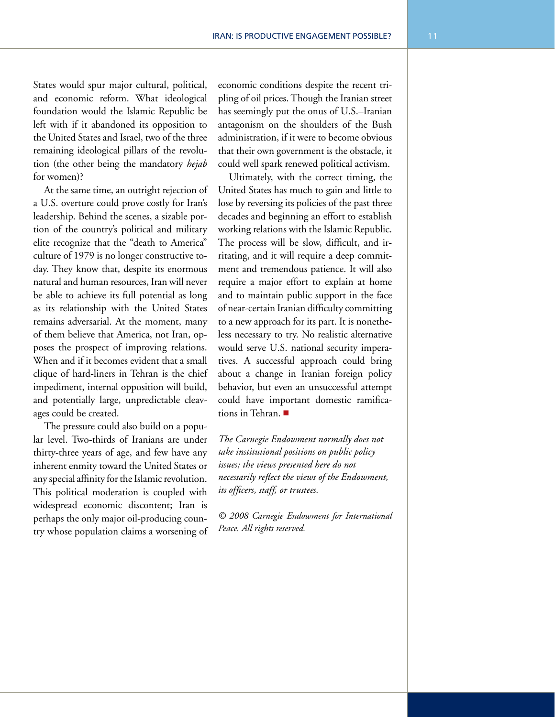States would spur major cultural, political, and economic reform. What ideological foundation would the Islamic Republic be left with if it abandoned its opposition to the United States and Israel, two of the three remaining ideological pillars of the revolution (the other being the mandatory *hejab* for women)?

At the same time, an outright rejection of a U.S. overture could prove costly for Iran's leadership. Behind the scenes, a sizable portion of the country's political and military elite recognize that the "death to America" culture of 1979 is no longer constructive today. They know that, despite its enormous natural and human resources, Iran will never be able to achieve its full potential as long as its relationship with the United States remains adversarial. At the moment, many of them believe that America, not Iran, opposes the prospect of improving relations. When and if it becomes evident that a small clique of hard-liners in Tehran is the chief impediment, internal opposition will build, and potentially large, unpredictable cleavages could be created.

The pressure could also build on a popular level. Two-thirds of Iranians are under thirty-three years of age, and few have any inherent enmity toward the United States or any special affinity for the Islamic revolution. This political moderation is coupled with widespread economic discontent; Iran is perhaps the only major oil-producing country whose population claims a worsening of economic conditions despite the recent tripling of oil prices. Though the Iranian street has seemingly put the onus of U.S.–Iranian antagonism on the shoulders of the Bush administration, if it were to become obvious that their own government is the obstacle, it could well spark renewed political activism.

Ultimately, with the correct timing, the United States has much to gain and little to lose by reversing its policies of the past three decades and beginning an effort to establish working relations with the Islamic Republic. The process will be slow, difficult, and irritating, and it will require a deep commitment and tremendous patience. It will also require a major effort to explain at home and to maintain public support in the face of near-certain Iranian difficulty committing to a new approach for its part. It is nonetheless necessary to try. No realistic alternative would serve U.S. national security imperatives. A successful approach could bring about a change in Iranian foreign policy behavior, but even an unsuccessful attempt could have important domestic ramifications in Tehran.  $\blacksquare$ 

*The Carnegie Endowment normally does not take institutional positions on public policy issues; the views presented here do not necessarily reflect the views of the Endowment, its officers, staff, or trustees.*

*© 2008 Carnegie Endowment for International Peace. All rights reserved.*